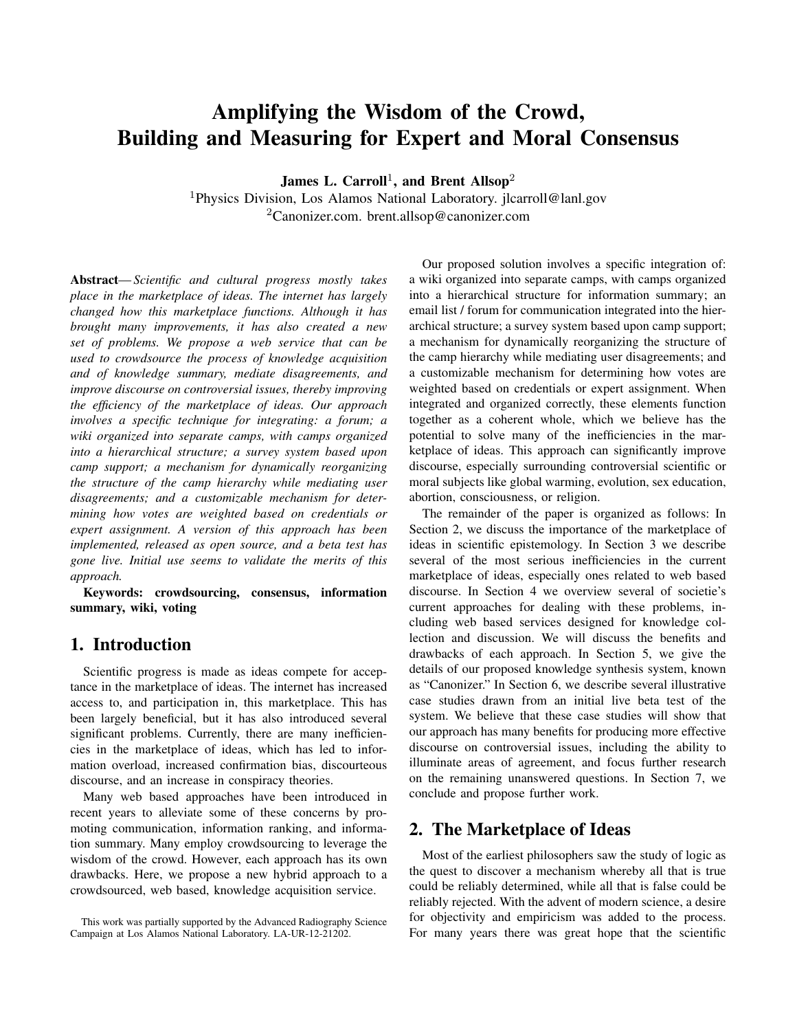# Amplifying the Wisdom of the Crowd, Building and Measuring for Expert and Moral Consensus

James L. Carroll<sup>1</sup>, and Brent Allsop<sup>2</sup>

<sup>1</sup>Physics Division, Los Alamos National Laboratory. jlcarroll@lanl.gov  ${}^{2}$ Canonizer.com. brent.allsop@canonizer.com

Abstract—*Scientific and cultural progress mostly takes place in the marketplace of ideas. The internet has largely changed how this marketplace functions. Although it has brought many improvements, it has also created a new set of problems. We propose a web service that can be used to crowdsource the process of knowledge acquisition and of knowledge summary, mediate disagreements, and improve discourse on controversial issues, thereby improving the efficiency of the marketplace of ideas. Our approach involves a specific technique for integrating: a forum; a wiki organized into separate camps, with camps organized into a hierarchical structure; a survey system based upon camp support; a mechanism for dynamically reorganizing the structure of the camp hierarchy while mediating user disagreements; and a customizable mechanism for determining how votes are weighted based on credentials or expert assignment. A version of this approach has been implemented, released as open source, and a beta test has gone live. Initial use seems to validate the merits of this approach.*

Keywords: crowdsourcing, consensus, information summary, wiki, voting

#### 1. Introduction

Scientific progress is made as ideas compete for acceptance in the marketplace of ideas. The internet has increased access to, and participation in, this marketplace. This has been largely beneficial, but it has also introduced several significant problems. Currently, there are many inefficiencies in the marketplace of ideas, which has led to information overload, increased confirmation bias, discourteous discourse, and an increase in conspiracy theories.

Many web based approaches have been introduced in recent years to alleviate some of these concerns by promoting communication, information ranking, and information summary. Many employ crowdsourcing to leverage the wisdom of the crowd. However, each approach has its own drawbacks. Here, we propose a new hybrid approach to a crowdsourced, web based, knowledge acquisition service.

Our proposed solution involves a specific integration of: a wiki organized into separate camps, with camps organized into a hierarchical structure for information summary; an email list / forum for communication integrated into the hierarchical structure; a survey system based upon camp support; a mechanism for dynamically reorganizing the structure of the camp hierarchy while mediating user disagreements; and a customizable mechanism for determining how votes are weighted based on credentials or expert assignment. When integrated and organized correctly, these elements function together as a coherent whole, which we believe has the potential to solve many of the inefficiencies in the marketplace of ideas. This approach can significantly improve discourse, especially surrounding controversial scientific or moral subjects like global warming, evolution, sex education, abortion, consciousness, or religion.

The remainder of the paper is organized as follows: In Section 2, we discuss the importance of the marketplace of ideas in scientific epistemology. In Section 3 we describe several of the most serious inefficiencies in the current marketplace of ideas, especially ones related to web based discourse. In Section 4 we overview several of societie's current approaches for dealing with these problems, including web based services designed for knowledge collection and discussion. We will discuss the benefits and drawbacks of each approach. In Section 5, we give the details of our proposed knowledge synthesis system, known as "Canonizer." In Section 6, we describe several illustrative case studies drawn from an initial live beta test of the system. We believe that these case studies will show that our approach has many benefits for producing more effective discourse on controversial issues, including the ability to illuminate areas of agreement, and focus further research on the remaining unanswered questions. In Section 7, we conclude and propose further work.

#### 2. The Marketplace of Ideas

Most of the earliest philosophers saw the study of logic as the quest to discover a mechanism whereby all that is true could be reliably determined, while all that is false could be reliably rejected. With the advent of modern science, a desire for objectivity and empiricism was added to the process. For many years there was great hope that the scientific

This work was partially supported by the Advanced Radiography Science Campaign at Los Alamos National Laboratory. LA-UR-12-21202.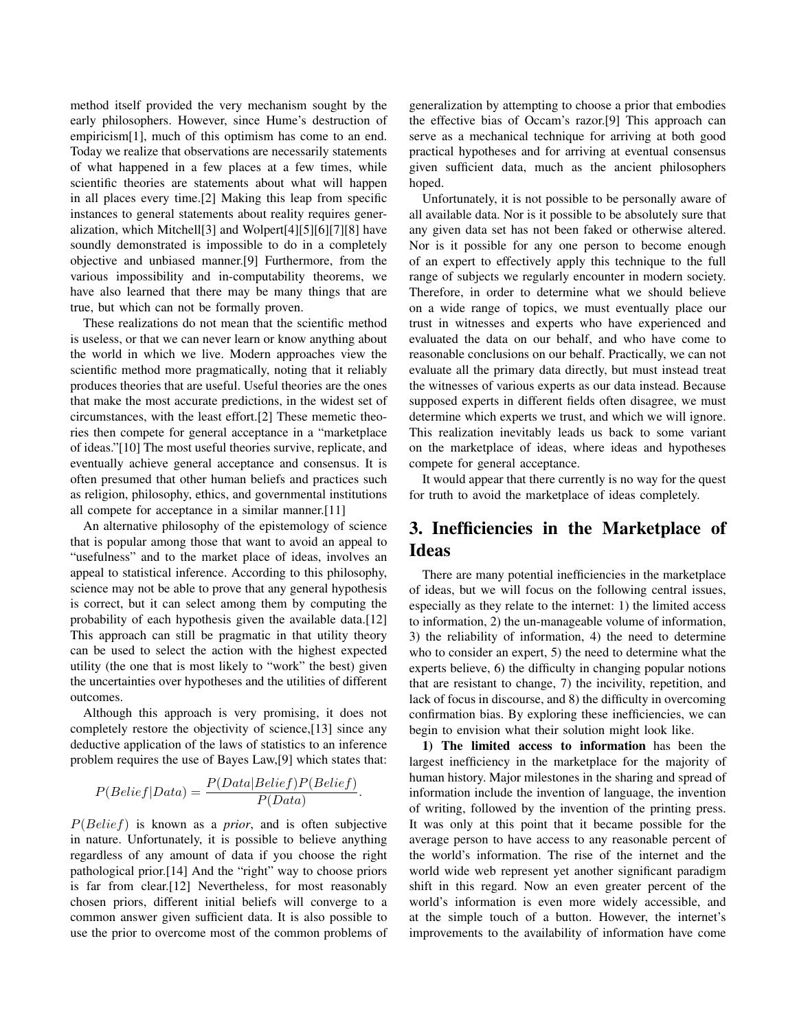method itself provided the very mechanism sought by the early philosophers. However, since Hume's destruction of empiricism[1], much of this optimism has come to an end. Today we realize that observations are necessarily statements of what happened in a few places at a few times, while scientific theories are statements about what will happen in all places every time.[2] Making this leap from specific instances to general statements about reality requires generalization, which Mitchell[3] and Wolpert[4][5][6][7][8] have soundly demonstrated is impossible to do in a completely objective and unbiased manner.[9] Furthermore, from the various impossibility and in-computability theorems, we have also learned that there may be many things that are true, but which can not be formally proven.

These realizations do not mean that the scientific method is useless, or that we can never learn or know anything about the world in which we live. Modern approaches view the scientific method more pragmatically, noting that it reliably produces theories that are useful. Useful theories are the ones that make the most accurate predictions, in the widest set of circumstances, with the least effort.[2] These memetic theories then compete for general acceptance in a "marketplace of ideas."[10] The most useful theories survive, replicate, and eventually achieve general acceptance and consensus. It is often presumed that other human beliefs and practices such as religion, philosophy, ethics, and governmental institutions all compete for acceptance in a similar manner.[11]

An alternative philosophy of the epistemology of science that is popular among those that want to avoid an appeal to "usefulness" and to the market place of ideas, involves an appeal to statistical inference. According to this philosophy, science may not be able to prove that any general hypothesis is correct, but it can select among them by computing the probability of each hypothesis given the available data.[12] This approach can still be pragmatic in that utility theory can be used to select the action with the highest expected utility (the one that is most likely to "work" the best) given the uncertainties over hypotheses and the utilities of different outcomes.

Although this approach is very promising, it does not completely restore the objectivity of science,[13] since any deductive application of the laws of statistics to an inference problem requires the use of Bayes Law,[9] which states that:

$$
P(Belief|Data) = \frac{P(Data|Belief)P(Belief)}{P(Data)}
$$

.

P(Belief) is known as a *prior*, and is often subjective in nature. Unfortunately, it is possible to believe anything regardless of any amount of data if you choose the right pathological prior.[14] And the "right" way to choose priors is far from clear.[12] Nevertheless, for most reasonably chosen priors, different initial beliefs will converge to a common answer given sufficient data. It is also possible to use the prior to overcome most of the common problems of generalization by attempting to choose a prior that embodies the effective bias of Occam's razor.[9] This approach can serve as a mechanical technique for arriving at both good practical hypotheses and for arriving at eventual consensus given sufficient data, much as the ancient philosophers hoped.

Unfortunately, it is not possible to be personally aware of all available data. Nor is it possible to be absolutely sure that any given data set has not been faked or otherwise altered. Nor is it possible for any one person to become enough of an expert to effectively apply this technique to the full range of subjects we regularly encounter in modern society. Therefore, in order to determine what we should believe on a wide range of topics, we must eventually place our trust in witnesses and experts who have experienced and evaluated the data on our behalf, and who have come to reasonable conclusions on our behalf. Practically, we can not evaluate all the primary data directly, but must instead treat the witnesses of various experts as our data instead. Because supposed experts in different fields often disagree, we must determine which experts we trust, and which we will ignore. This realization inevitably leads us back to some variant on the marketplace of ideas, where ideas and hypotheses compete for general acceptance.

It would appear that there currently is no way for the quest for truth to avoid the marketplace of ideas completely.

## 3. Inefficiencies in the Marketplace of Ideas

There are many potential inefficiencies in the marketplace of ideas, but we will focus on the following central issues, especially as they relate to the internet: 1) the limited access to information, 2) the un-manageable volume of information, 3) the reliability of information, 4) the need to determine who to consider an expert, 5) the need to determine what the experts believe, 6) the difficulty in changing popular notions that are resistant to change, 7) the incivility, repetition, and lack of focus in discourse, and 8) the difficulty in overcoming confirmation bias. By exploring these inefficiencies, we can begin to envision what their solution might look like.

1) The limited access to information has been the largest inefficiency in the marketplace for the majority of human history. Major milestones in the sharing and spread of information include the invention of language, the invention of writing, followed by the invention of the printing press. It was only at this point that it became possible for the average person to have access to any reasonable percent of the world's information. The rise of the internet and the world wide web represent yet another significant paradigm shift in this regard. Now an even greater percent of the world's information is even more widely accessible, and at the simple touch of a button. However, the internet's improvements to the availability of information have come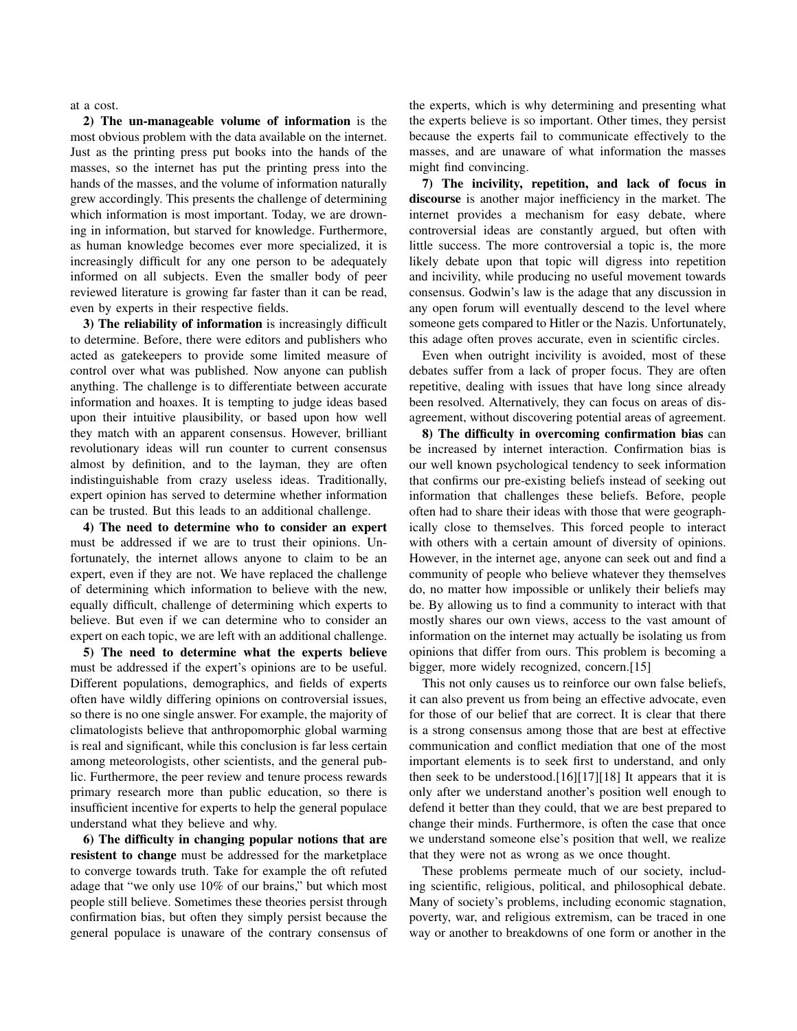at a cost.

2) The un-manageable volume of information is the most obvious problem with the data available on the internet. Just as the printing press put books into the hands of the masses, so the internet has put the printing press into the hands of the masses, and the volume of information naturally grew accordingly. This presents the challenge of determining which information is most important. Today, we are drowning in information, but starved for knowledge. Furthermore, as human knowledge becomes ever more specialized, it is increasingly difficult for any one person to be adequately informed on all subjects. Even the smaller body of peer reviewed literature is growing far faster than it can be read, even by experts in their respective fields.

3) The reliability of information is increasingly difficult to determine. Before, there were editors and publishers who acted as gatekeepers to provide some limited measure of control over what was published. Now anyone can publish anything. The challenge is to differentiate between accurate information and hoaxes. It is tempting to judge ideas based upon their intuitive plausibility, or based upon how well they match with an apparent consensus. However, brilliant revolutionary ideas will run counter to current consensus almost by definition, and to the layman, they are often indistinguishable from crazy useless ideas. Traditionally, expert opinion has served to determine whether information can be trusted. But this leads to an additional challenge.

4) The need to determine who to consider an expert must be addressed if we are to trust their opinions. Unfortunately, the internet allows anyone to claim to be an expert, even if they are not. We have replaced the challenge of determining which information to believe with the new, equally difficult, challenge of determining which experts to believe. But even if we can determine who to consider an expert on each topic, we are left with an additional challenge.

5) The need to determine what the experts believe must be addressed if the expert's opinions are to be useful. Different populations, demographics, and fields of experts often have wildly differing opinions on controversial issues, so there is no one single answer. For example, the majority of climatologists believe that anthropomorphic global warming is real and significant, while this conclusion is far less certain among meteorologists, other scientists, and the general public. Furthermore, the peer review and tenure process rewards primary research more than public education, so there is insufficient incentive for experts to help the general populace understand what they believe and why.

6) The difficulty in changing popular notions that are resistent to change must be addressed for the marketplace to converge towards truth. Take for example the oft refuted adage that "we only use 10% of our brains," but which most people still believe. Sometimes these theories persist through confirmation bias, but often they simply persist because the general populace is unaware of the contrary consensus of the experts, which is why determining and presenting what the experts believe is so important. Other times, they persist because the experts fail to communicate effectively to the masses, and are unaware of what information the masses might find convincing.

7) The incivility, repetition, and lack of focus in discourse is another major inefficiency in the market. The internet provides a mechanism for easy debate, where controversial ideas are constantly argued, but often with little success. The more controversial a topic is, the more likely debate upon that topic will digress into repetition and incivility, while producing no useful movement towards consensus. Godwin's law is the adage that any discussion in any open forum will eventually descend to the level where someone gets compared to Hitler or the Nazis. Unfortunately, this adage often proves accurate, even in scientific circles.

Even when outright incivility is avoided, most of these debates suffer from a lack of proper focus. They are often repetitive, dealing with issues that have long since already been resolved. Alternatively, they can focus on areas of disagreement, without discovering potential areas of agreement.

8) The difficulty in overcoming confirmation bias can be increased by internet interaction. Confirmation bias is our well known psychological tendency to seek information that confirms our pre-existing beliefs instead of seeking out information that challenges these beliefs. Before, people often had to share their ideas with those that were geographically close to themselves. This forced people to interact with others with a certain amount of diversity of opinions. However, in the internet age, anyone can seek out and find a community of people who believe whatever they themselves do, no matter how impossible or unlikely their beliefs may be. By allowing us to find a community to interact with that mostly shares our own views, access to the vast amount of information on the internet may actually be isolating us from opinions that differ from ours. This problem is becoming a bigger, more widely recognized, concern.[15]

This not only causes us to reinforce our own false beliefs, it can also prevent us from being an effective advocate, even for those of our belief that are correct. It is clear that there is a strong consensus among those that are best at effective communication and conflict mediation that one of the most important elements is to seek first to understand, and only then seek to be understood.[16][17][18] It appears that it is only after we understand another's position well enough to defend it better than they could, that we are best prepared to change their minds. Furthermore, is often the case that once we understand someone else's position that well, we realize that they were not as wrong as we once thought.

These problems permeate much of our society, including scientific, religious, political, and philosophical debate. Many of society's problems, including economic stagnation, poverty, war, and religious extremism, can be traced in one way or another to breakdowns of one form or another in the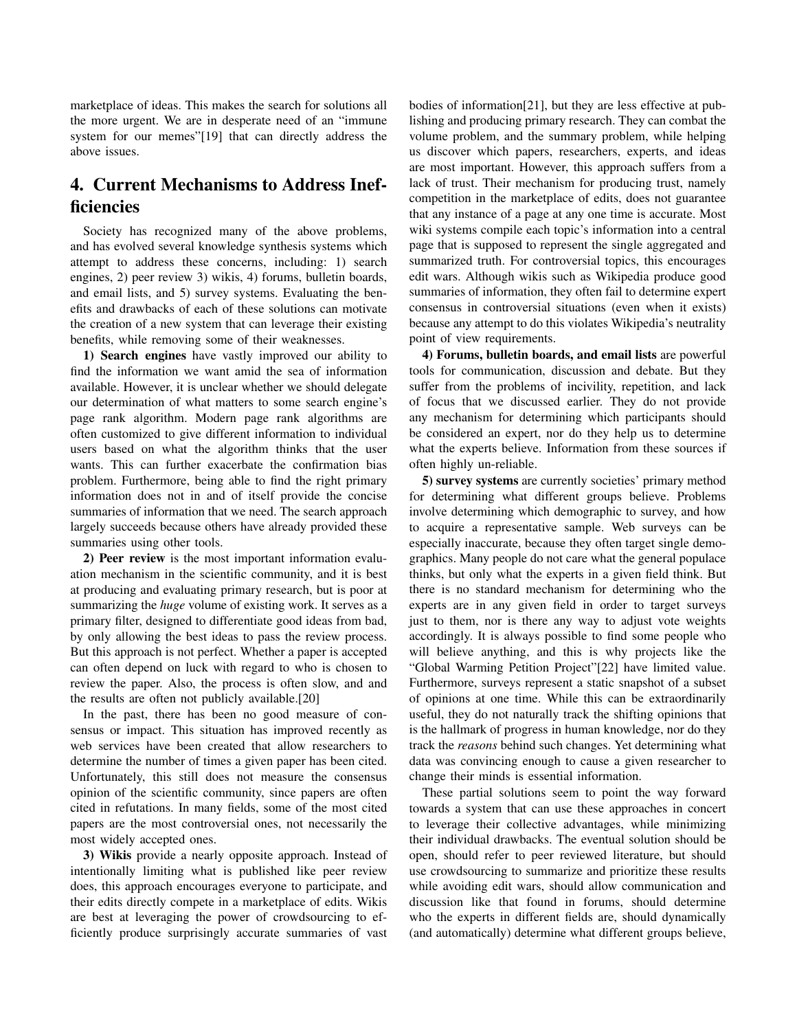marketplace of ideas. This makes the search for solutions all the more urgent. We are in desperate need of an "immune system for our memes"[19] that can directly address the above issues.

## 4. Current Mechanisms to Address Inefficiencies

Society has recognized many of the above problems, and has evolved several knowledge synthesis systems which attempt to address these concerns, including: 1) search engines, 2) peer review 3) wikis, 4) forums, bulletin boards, and email lists, and 5) survey systems. Evaluating the benefits and drawbacks of each of these solutions can motivate the creation of a new system that can leverage their existing benefits, while removing some of their weaknesses.

1) Search engines have vastly improved our ability to find the information we want amid the sea of information available. However, it is unclear whether we should delegate our determination of what matters to some search engine's page rank algorithm. Modern page rank algorithms are often customized to give different information to individual users based on what the algorithm thinks that the user wants. This can further exacerbate the confirmation bias problem. Furthermore, being able to find the right primary information does not in and of itself provide the concise summaries of information that we need. The search approach largely succeeds because others have already provided these summaries using other tools.

2) Peer review is the most important information evaluation mechanism in the scientific community, and it is best at producing and evaluating primary research, but is poor at summarizing the *huge* volume of existing work. It serves as a primary filter, designed to differentiate good ideas from bad, by only allowing the best ideas to pass the review process. But this approach is not perfect. Whether a paper is accepted can often depend on luck with regard to who is chosen to review the paper. Also, the process is often slow, and and the results are often not publicly available.[20]

In the past, there has been no good measure of consensus or impact. This situation has improved recently as web services have been created that allow researchers to determine the number of times a given paper has been cited. Unfortunately, this still does not measure the consensus opinion of the scientific community, since papers are often cited in refutations. In many fields, some of the most cited papers are the most controversial ones, not necessarily the most widely accepted ones.

3) Wikis provide a nearly opposite approach. Instead of intentionally limiting what is published like peer review does, this approach encourages everyone to participate, and their edits directly compete in a marketplace of edits. Wikis are best at leveraging the power of crowdsourcing to efficiently produce surprisingly accurate summaries of vast

bodies of information[21], but they are less effective at publishing and producing primary research. They can combat the volume problem, and the summary problem, while helping us discover which papers, researchers, experts, and ideas are most important. However, this approach suffers from a lack of trust. Their mechanism for producing trust, namely competition in the marketplace of edits, does not guarantee that any instance of a page at any one time is accurate. Most wiki systems compile each topic's information into a central page that is supposed to represent the single aggregated and summarized truth. For controversial topics, this encourages edit wars. Although wikis such as Wikipedia produce good summaries of information, they often fail to determine expert consensus in controversial situations (even when it exists) because any attempt to do this violates Wikipedia's neutrality point of view requirements.

4) Forums, bulletin boards, and email lists are powerful tools for communication, discussion and debate. But they suffer from the problems of incivility, repetition, and lack of focus that we discussed earlier. They do not provide any mechanism for determining which participants should be considered an expert, nor do they help us to determine what the experts believe. Information from these sources if often highly un-reliable.

5) survey systems are currently societies' primary method for determining what different groups believe. Problems involve determining which demographic to survey, and how to acquire a representative sample. Web surveys can be especially inaccurate, because they often target single demographics. Many people do not care what the general populace thinks, but only what the experts in a given field think. But there is no standard mechanism for determining who the experts are in any given field in order to target surveys just to them, nor is there any way to adjust vote weights accordingly. It is always possible to find some people who will believe anything, and this is why projects like the "Global Warming Petition Project"[22] have limited value. Furthermore, surveys represent a static snapshot of a subset of opinions at one time. While this can be extraordinarily useful, they do not naturally track the shifting opinions that is the hallmark of progress in human knowledge, nor do they track the *reasons* behind such changes. Yet determining what data was convincing enough to cause a given researcher to change their minds is essential information.

These partial solutions seem to point the way forward towards a system that can use these approaches in concert to leverage their collective advantages, while minimizing their individual drawbacks. The eventual solution should be open, should refer to peer reviewed literature, but should use crowdsourcing to summarize and prioritize these results while avoiding edit wars, should allow communication and discussion like that found in forums, should determine who the experts in different fields are, should dynamically (and automatically) determine what different groups believe,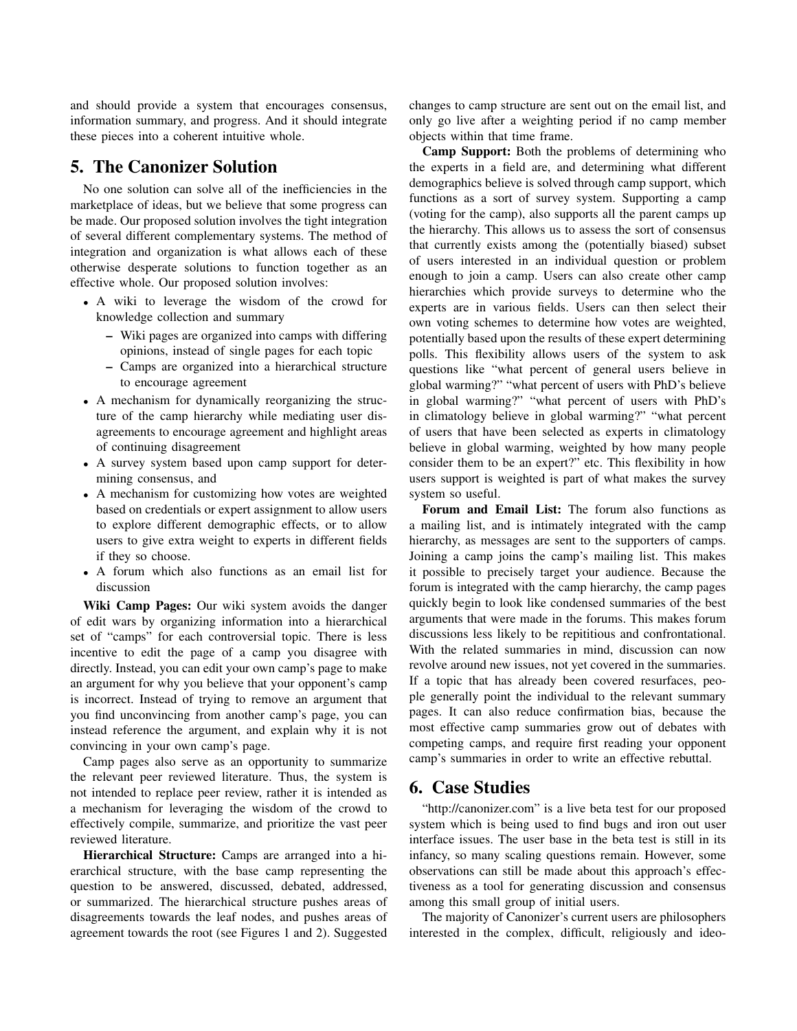and should provide a system that encourages consensus, information summary, and progress. And it should integrate these pieces into a coherent intuitive whole.

#### 5. The Canonizer Solution

No one solution can solve all of the inefficiencies in the marketplace of ideas, but we believe that some progress can be made. Our proposed solution involves the tight integration of several different complementary systems. The method of integration and organization is what allows each of these otherwise desperate solutions to function together as an effective whole. Our proposed solution involves:

- A wiki to leverage the wisdom of the crowd for knowledge collection and summary
	- Wiki pages are organized into camps with differing opinions, instead of single pages for each topic
	- Camps are organized into a hierarchical structure to encourage agreement
- A mechanism for dynamically reorganizing the structure of the camp hierarchy while mediating user disagreements to encourage agreement and highlight areas of continuing disagreement
- A survey system based upon camp support for determining consensus, and
- A mechanism for customizing how votes are weighted based on credentials or expert assignment to allow users to explore different demographic effects, or to allow users to give extra weight to experts in different fields if they so choose.
- A forum which also functions as an email list for discussion

Wiki Camp Pages: Our wiki system avoids the danger of edit wars by organizing information into a hierarchical set of "camps" for each controversial topic. There is less incentive to edit the page of a camp you disagree with directly. Instead, you can edit your own camp's page to make an argument for why you believe that your opponent's camp is incorrect. Instead of trying to remove an argument that you find unconvincing from another camp's page, you can instead reference the argument, and explain why it is not convincing in your own camp's page.

Camp pages also serve as an opportunity to summarize the relevant peer reviewed literature. Thus, the system is not intended to replace peer review, rather it is intended as a mechanism for leveraging the wisdom of the crowd to effectively compile, summarize, and prioritize the vast peer reviewed literature.

Hierarchical Structure: Camps are arranged into a hierarchical structure, with the base camp representing the question to be answered, discussed, debated, addressed, or summarized. The hierarchical structure pushes areas of disagreements towards the leaf nodes, and pushes areas of agreement towards the root (see Figures 1 and 2). Suggested changes to camp structure are sent out on the email list, and only go live after a weighting period if no camp member objects within that time frame.

Camp Support: Both the problems of determining who the experts in a field are, and determining what different demographics believe is solved through camp support, which functions as a sort of survey system. Supporting a camp (voting for the camp), also supports all the parent camps up the hierarchy. This allows us to assess the sort of consensus that currently exists among the (potentially biased) subset of users interested in an individual question or problem enough to join a camp. Users can also create other camp hierarchies which provide surveys to determine who the experts are in various fields. Users can then select their own voting schemes to determine how votes are weighted, potentially based upon the results of these expert determining polls. This flexibility allows users of the system to ask questions like "what percent of general users believe in global warming?" "what percent of users with PhD's believe in global warming?" "what percent of users with PhD's in climatology believe in global warming?" "what percent of users that have been selected as experts in climatology believe in global warming, weighted by how many people consider them to be an expert?" etc. This flexibility in how users support is weighted is part of what makes the survey system so useful.

Forum and Email List: The forum also functions as a mailing list, and is intimately integrated with the camp hierarchy, as messages are sent to the supporters of camps. Joining a camp joins the camp's mailing list. This makes it possible to precisely target your audience. Because the forum is integrated with the camp hierarchy, the camp pages quickly begin to look like condensed summaries of the best arguments that were made in the forums. This makes forum discussions less likely to be repititious and confrontational. With the related summaries in mind, discussion can now revolve around new issues, not yet covered in the summaries. If a topic that has already been covered resurfaces, people generally point the individual to the relevant summary pages. It can also reduce confirmation bias, because the most effective camp summaries grow out of debates with competing camps, and require first reading your opponent camp's summaries in order to write an effective rebuttal.

#### 6. Case Studies

"http://canonizer.com" is a live beta test for our proposed system which is being used to find bugs and iron out user interface issues. The user base in the beta test is still in its infancy, so many scaling questions remain. However, some observations can still be made about this approach's effectiveness as a tool for generating discussion and consensus among this small group of initial users.

The majority of Canonizer's current users are philosophers interested in the complex, difficult, religiously and ideo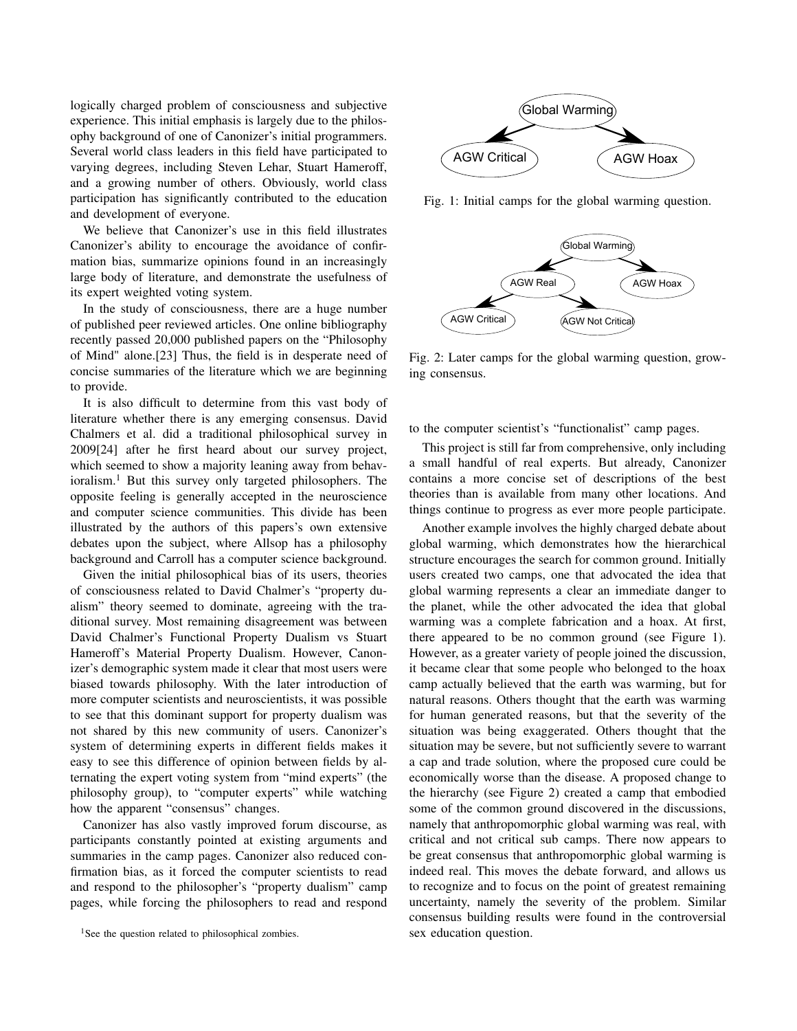logically charged problem of consciousness and subjective experience. This initial emphasis is largely due to the philosophy background of one of Canonizer's initial programmers. Several world class leaders in this field have participated to varying degrees, including Steven Lehar, Stuart Hameroff, and a growing number of others. Obviously, world class participation has significantly contributed to the education and development of everyone.

We believe that Canonizer's use in this field illustrates Canonizer's ability to encourage the avoidance of confirmation bias, summarize opinions found in an increasingly large body of literature, and demonstrate the usefulness of its expert weighted voting system.

In the study of consciousness, there are a huge number of published peer reviewed articles. One online bibliography recently passed 20,000 published papers on the "Philosophy of Mind" alone.[23] Thus, the field is in desperate need of concise summaries of the literature which we are beginning to provide.

It is also difficult to determine from this vast body of literature whether there is any emerging consensus. David Chalmers et al. did a traditional philosophical survey in 2009[24] after he first heard about our survey project, which seemed to show a majority leaning away from behavioralism.<sup>1</sup> But this survey only targeted philosophers. The opposite feeling is generally accepted in the neuroscience and computer science communities. This divide has been illustrated by the authors of this papers's own extensive debates upon the subject, where Allsop has a philosophy background and Carroll has a computer science background.

Given the initial philosophical bias of its users, theories of consciousness related to David Chalmer's "property dualism" theory seemed to dominate, agreeing with the traditional survey. Most remaining disagreement was between David Chalmer's Functional Property Dualism vs Stuart Hameroff's Material Property Dualism. However, Canonizer's demographic system made it clear that most users were biased towards philosophy. With the later introduction of more computer scientists and neuroscientists, it was possible to see that this dominant support for property dualism was not shared by this new community of users. Canonizer's system of determining experts in different fields makes it easy to see this difference of opinion between fields by alternating the expert voting system from "mind experts" (the philosophy group), to "computer experts" while watching how the apparent "consensus" changes.

Canonizer has also vastly improved forum discourse, as participants constantly pointed at existing arguments and summaries in the camp pages. Canonizer also reduced confirmation bias, as it forced the computer scientists to read and respond to the philosopher's "property dualism" camp pages, while forcing the philosophers to read and respond



Fig. 1: Initial camps for the global warming question.



Fig. 2: Later camps for the global warming question, growing consensus.

to the computer scientist's "functionalist" camp pages.

This project is still far from comprehensive, only including a small handful of real experts. But already, Canonizer contains a more concise set of descriptions of the best theories than is available from many other locations. And things continue to progress as ever more people participate.

Another example involves the highly charged debate about global warming, which demonstrates how the hierarchical structure encourages the search for common ground. Initially users created two camps, one that advocated the idea that global warming represents a clear an immediate danger to the planet, while the other advocated the idea that global warming was a complete fabrication and a hoax. At first, there appeared to be no common ground (see Figure 1). However, as a greater variety of people joined the discussion, it became clear that some people who belonged to the hoax camp actually believed that the earth was warming, but for natural reasons. Others thought that the earth was warming for human generated reasons, but that the severity of the situation was being exaggerated. Others thought that the situation may be severe, but not sufficiently severe to warrant a cap and trade solution, where the proposed cure could be economically worse than the disease. A proposed change to the hierarchy (see Figure 2) created a camp that embodied some of the common ground discovered in the discussions, namely that anthropomorphic global warming was real, with critical and not critical sub camps. There now appears to be great consensus that anthropomorphic global warming is indeed real. This moves the debate forward, and allows us to recognize and to focus on the point of greatest remaining uncertainty, namely the severity of the problem. Similar consensus building results were found in the controversial sex education question.

<sup>&</sup>lt;sup>1</sup>See the question related to philosophical zombies.